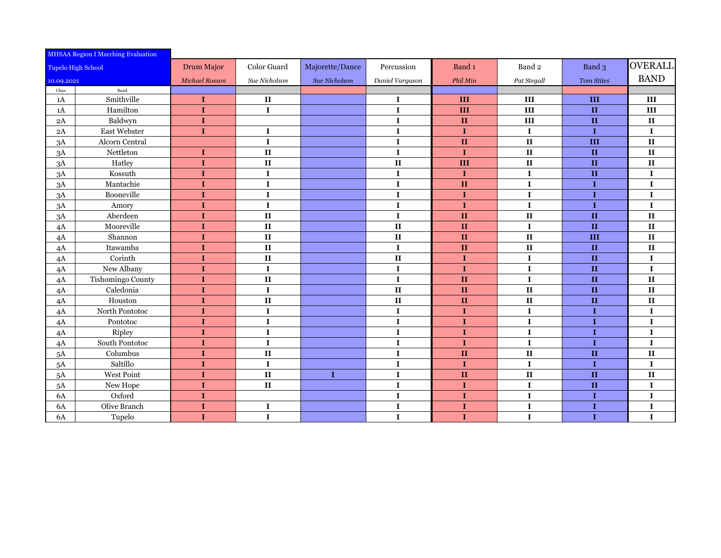|                           | <b>MHSAA Region I Marching Evaluation</b> |                       |               |                      |                        |                   |                   |                   |                        |
|---------------------------|-------------------------------------------|-----------------------|---------------|----------------------|------------------------|-------------------|-------------------|-------------------|------------------------|
| <b>Tupelo High School</b> |                                           | Drum Major            | Color Guard   | Majorette/Dance      | Percussion             | Band <sub>1</sub> | Band <sub>2</sub> | Band 3            | OVERALL                |
| 10.09.2021                |                                           | <b>Michael Rosson</b> | Sue Nicholson | <b>Sue Nicholson</b> | Daniel Vargason        | Phil Min          | Pat Stegall       | <b>Tom Stites</b> | <b>BAND</b>            |
| $\rm Class$               | Band                                      |                       |               |                      |                        |                   |                   |                   |                        |
| 1A                        | Smithville                                | $\mathbf I$           | $\mathbf{I}$  |                      | $\mathbf I$            | III               | III               | III               | III                    |
| 1A                        | Hamilton                                  | $\mathbf I$           | $\mathbf I$   |                      | $\mathbf I$            | III               | III               | $\mathbf{II}$     | $\mathbf{III}$         |
| 2A                        | Baldwyn                                   | I                     |               |                      | I                      | $\mathbf{I}$      | III               | $\mathbf{I}$      | $\mathbf{I}$           |
| 2A                        | East Webster                              | $\mathbf I$           | $\mathbf I$   |                      | $\mathbf I$            | $\mathbf I$       | $\mathbf I$       | $\mathbf{I}$      | $\mathbf I$            |
| 3A                        | Alcorn Central                            |                       | $\mathbf I$   |                      | I                      | $\mathbf{I}$      | $\mathbf{I}$      | III               | $\mathbf{I}$           |
| 3A                        | Nettleton                                 | $\mathbf I$           | $\mathbf{H}$  |                      | $\mathbf I$            | $\mathbf I$       | $\mathbf{I}$      | $\mathbf{II}$     | $\mathbf{I}$           |
| 3A                        | Hatley                                    | $\mathbf I$           | $\mathbf{I}$  |                      | $\mathbf{I}$           | III               | $\mathbf{I}$      | $\mathbf{H}$      | $\mathbf{I}$           |
| 3A                        | Kossuth                                   | I                     | $\mathbf I$   |                      | I                      | $\mathbf I$       | $\mathbf I$       | $\mathbf{II}$     | $\mathbf{I}$           |
| 3A                        | Mantachie                                 | I                     | $\mathbf I$   |                      | $\mathbf I$            | $\mathbf{I}$      | $\mathbf I$       | $\mathbf I$       | $\mathbf I$            |
| 3A                        | Booneville                                | $\mathbf I$           | $\mathbf I$   |                      | I                      | $\mathbf I$       | $\mathbf I$       | $\mathbf I$       | $\mathbf I$            |
| 3A                        | Amory                                     | I                     | $\mathbf I$   |                      | $\mathbf I$            | $\mathbf I$       | $\mathbf I$       | $\mathbf I$       | $\mathbf I$            |
| 3A                        | Aberdeen                                  | $\mathbf I$           | $\mathbf{I}$  |                      | $\mathbf I$            | $\mathbf{I}$      | $\mathbf{H}$      | $\mathbf{H}$      | $\mathbf{II}$          |
| 4A                        | Mooreville                                | $\mathbf I$           | $\mathbf{I}$  |                      | $\mathbf{I}\mathbf{I}$ | $\mathbf{H}$      | $\mathbf I$       | $\mathbf{H}$      | $\mathbf{I}$           |
| 4A                        | Shannon                                   | $\mathbf I$           | $\mathbf{I}$  |                      | $\mathbf{I}$           | $\mathbf{I}$      | $\mathbf{I}$      | III               | $\mathbf{I}$           |
| 4A                        | Itawamba                                  | I                     | $\mathbf{I}$  |                      | $\mathbf I$            | $\mathbf{I}$      | $\rm II$          | $\mathbf{II}$     | $\mathbf{I}$           |
| 4A                        | Corinth                                   | I                     | $\mathbf{I}$  |                      | $\mathbf{I}$           | $\mathbf I$       | $\mathbf I$       | $\mathbf{I}$      | $\mathbf I$            |
| 4A                        | New Albany                                | I                     | $\mathbf I$   |                      | $\mathbf I$            | $\mathbf I$       | $\mathbf I$       | $\mathbf{I}$      | $\mathbf I$            |
| 4A                        | Tishomingo County                         | I                     | $\mathbf{I}$  |                      | $\mathbf I$            | $\mathbf{I}$      | $\mathbf I$       | $\mathbf{I}$      | $\mathbf{I}$           |
| 4A                        | Caledonia                                 | $\bf{I}$              | $\mathbf I$   |                      | $\mathbf{I}\mathbf{I}$ | $\mathbf{I}$      | $\mathbf{I}$      | $\mathbf{I}$      | $\mathbf{I}$           |
| $4\mathrm{A}$             | Houston                                   | $\mathbf I$           | $\mathbf{I}$  |                      | $\mathbf{I}$           | $\mathbf{I}$      | $\mathbf{H}$      | $\mathbf{I}$      | $\mathbf{I}$           |
| 4A                        | North Pontotoc                            | $\mathbf I$           | $\mathbf I$   |                      | $\mathbf I$            | $\mathbf I$       | $\mathbf I$       | $\mathbf I$       | $\mathbf I$            |
| 4A                        | Pontotoc                                  | I                     | $\mathbf I$   |                      | $\mathbf I$            | $\mathbf I$       | $\mathbf I$       | $\mathbf I$       | $\mathbf I$            |
| 4A                        | Ripley                                    | $\mathbf I$           | $\mathbf I$   |                      | $\mathbf I$            | $\mathbf I$       | $\mathbf I$       | $\mathbf I$       | $\mathbf I$            |
| 4A                        | South Pontotoc                            | I                     | $\mathbf I$   |                      | $\mathbf I$            | $\mathbf I$       | $\mathbf I$       | $\mathbf I$       | $\mathbf{I}$           |
| 5A                        | Columbus                                  | $\mathbf I$           | $\mathbf{I}$  |                      | I                      | $\mathbf{I}$      | $\mathbf{I}$      | $\mathbf{I}$      | $\mathbf{I}\mathbf{I}$ |
| 5A                        | Saltillo                                  | $\bf{I}$              | $\mathbf I$   |                      | $\mathbf I$            | $\bf{I}$          | $\mathbf I$       | $\mathbf{I}$      | $\mathbf I$            |
| 5A                        | West Point                                | $\mathbf I$           | $\mathbf{I}$  | $\bf{I}$             | $\mathbf I$            | $\mathbf{I}$      | $\mathbf{I}$      | $\mathbf{I}$      | $\mathbf{I}$           |
| 5A                        | New Hope                                  | $\mathbf I$           | $\mathbf{I}$  |                      | $\mathbf I$            | $\mathbf I$       | $\mathbf I$       | $\mathbf{H}$      | $\mathbf I$            |
| 6A                        | Oxford                                    | I                     |               |                      | $\mathbf I$            | $\mathbf I$       | $\mathbf I$       | $\mathbf I$       | $\mathbf I$            |
| <b>6A</b>                 | Olive Branch                              | I                     | I             |                      | I                      | $\mathbf I$       | $\mathbf I$       | $\mathbf I$       | $\mathbf I$            |
| 6A                        | Tupelo                                    | I                     | $\mathbf I$   |                      | $\mathbf I$            | $\bf{I}$          | $\mathbf I$       | $\mathbf I$       | $\mathbf I$            |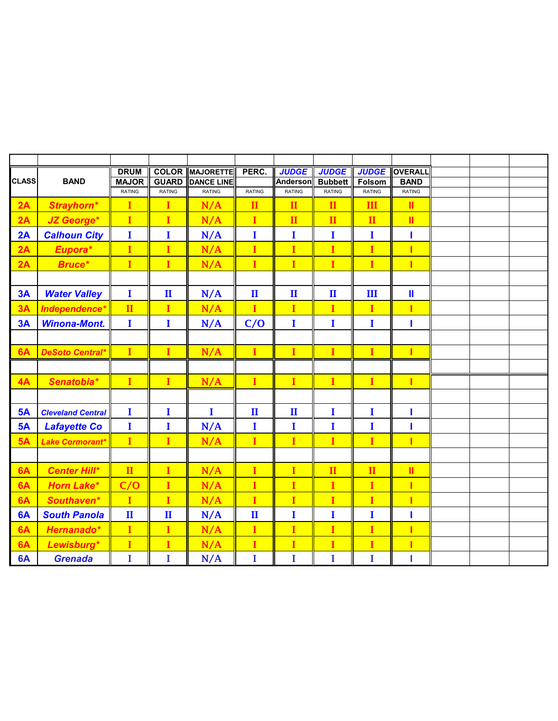|              |                          | <b>DRUM</b>            | <b>COLOR</b>  | <b>MAJORETTE</b>  | PERC.        | <b>JUDGE</b>    | <b>JUDGE</b>   | <b>JUDGE</b>   | <b>OVERALL</b>           |  |  |
|--------------|--------------------------|------------------------|---------------|-------------------|--------------|-----------------|----------------|----------------|--------------------------|--|--|
| <b>CLASS</b> | <b>BAND</b>              | <b>MAJOR</b>           | <b>GUARD</b>  | <b>DANCE LINE</b> |              | <b>Anderson</b> | <b>Bubbett</b> | Folsom         | <b>BAND</b>              |  |  |
|              |                          | <b>RATING</b>          | <b>RATING</b> | RATING            | RATING       | RATING          | <b>RATING</b>  | <b>RATING</b>  | <b>RATING</b>            |  |  |
| 2A           | Strayhorn*               | $\mathbf I$            | I             | N/A               | $\mathbf{I}$ | $\mathbf{I}$    | $\mathbf{I}$   | Ш              | Ш                        |  |  |
| 2A           | <b>JZ George*</b>        | $\mathbf I$            | Ī             | N/A               | I            | $\mathbf{I}$    | $\mathbf{I}$   | $\mathbf{I}$   | Ш                        |  |  |
| 2A           | <b>Calhoun City</b>      | $\mathbf I$            | $\mathbf I$   | N/A               | $\mathbf I$  | $\mathbf I$     | $\mathbf I$    | $\mathbf I$    | ı                        |  |  |
| 2A           | Eupora*                  | $\mathbf I$            | r             | N/A               | $\mathbf{I}$ | $\mathbf I$     | $\mathbf{I}$   | $\mathbf{I}$   | ı                        |  |  |
| 2A           | <b>Bruce*</b>            | I                      | Ī             | N/A               | $\mathbf I$  | $\mathbf I$     | $\mathbf{I}$   | $\mathbf{I}$   | T                        |  |  |
|              |                          |                        |               |                   |              |                 |                |                |                          |  |  |
| 3A           | <b>Water Valley</b>      | $\mathbf I$            | $\mathbf{I}$  | N/A               | $\mathbf{I}$ | $\mathbf{I}$    | $\mathbf{I}$   | III            | $\mathbf{I}$             |  |  |
| 3A           | Independence*            | $\mathbf{I}$           | I             | N/A               | $\mathbf I$  | $\mathbf I$     | $\mathbf{I}$   | $\mathbf{I}$   | ī                        |  |  |
| 3A           | <b>Winona-Mont.</b>      | $\mathbf I$            | $\mathbf I$   | N/A               | C/O          | $\mathbf I$     | $\mathbf I$    | $\bf{I}$       | п                        |  |  |
|              |                          |                        |               |                   |              |                 |                |                |                          |  |  |
| 6A           | <b>DeSoto Central*</b>   | $\mathbf{I}$           | $\mathbf{I}$  | N/A               | $\mathbf{I}$ | $\mathbf{I}$    | $\mathbf{I}$   | $\mathbf{I}$   | $\mathbf{L}$             |  |  |
|              |                          |                        |               |                   |              |                 |                |                |                          |  |  |
| 4A           | Senatobia*               | $\mathbf{I}$           | r             | N/A               | $\mathbf I$  | $\mathbf{I}$    | $\mathbf{I}$   | $\overline{I}$ | r                        |  |  |
|              |                          |                        |               |                   |              |                 |                |                |                          |  |  |
| 5A           | <b>Cleveland Central</b> | $\bf{I}$               | $\mathbf I$   | $\mathbf I$       | $\mathbf{I}$ | $\mathbf{I}$    | $\mathbf I$    | $\bf{I}$       | ı                        |  |  |
| 5A           | <b>Lafayette Co</b>      | $\mathbf{I}$           | Ī             | N/A               | $\mathbf I$  | I               | $\mathbf I$    | $\mathbf I$    | ı                        |  |  |
| 5A           | <b>Lake Cormorant*</b>   | $\mathbf I$            | $\mathbf{I}$  | N/A               | $\mathbf I$  | $\mathbf I$     | $\mathbf{I}$   | Ī              | T                        |  |  |
|              |                          |                        |               |                   |              |                 |                |                |                          |  |  |
| 6A           | <b>Center Hill*</b>      | $\mathbf{H}$           | $\mathbf{I}$  | N/A               | $\mathbf I$  | $\mathbf I$     | $\mathbf{H}$   | $\mathbf{I}$   | Ш                        |  |  |
| 6A           | <b>Horn Lake*</b>        | C/O                    | $\mathbf{I}$  | N/A               | $\mathbf I$  | $\mathbf I$     | $\mathbf{I}$   | $\mathbf{I}$   | ī                        |  |  |
| 6A           | Southaven*               | $\mathbf{I}$           | ī             | N/A               | $\mathbf{I}$ | $\mathbf I$     | I              | ī              | T                        |  |  |
| 6A           | <b>South Panola</b>      | $\mathbf{I}\mathbf{I}$ | $\mathbf{I}$  | N/A               | $\mathbf{I}$ | I               | I              | $\mathbf I$    | $\overline{\phantom{a}}$ |  |  |
| 6A           | Hernanado*               | $\mathbf I$            | Ī             | N/A               | I            | $\mathbf I$     | I              | $\mathbf{I}$   | ī                        |  |  |
| 6A           | Lewisburg*               | $\mathbf{I}$           | $\mathbf{I}$  | N/A               | $\mathbf{I}$ | $\mathbf I$     | $\mathbf{I}$   | $\mathbf{I}$   | ī                        |  |  |
| 6A           | <b>Grenada</b>           | $\mathbf I$            | I             | N/A               | I            | Ī               | I              | I              | I                        |  |  |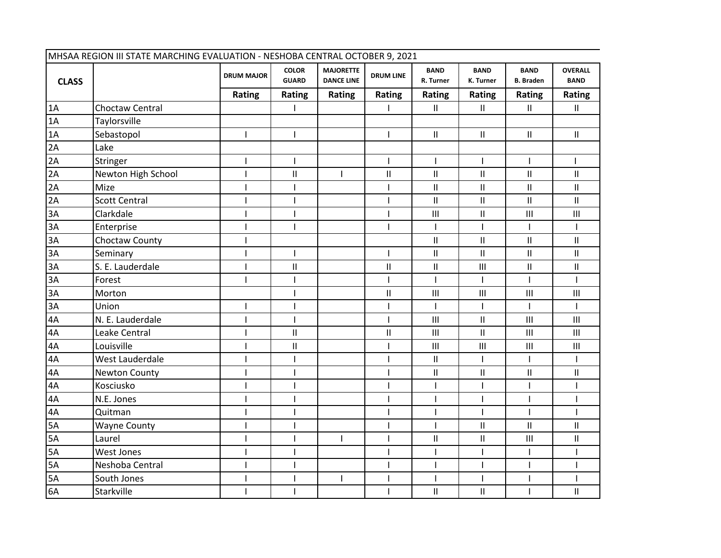|              | MHSAA REGION III STATE MARCHING EVALUATION - NESHOBA CENTRAL OCTOBER 9, 2021 |                   |                              |                                       |                          |                                    |                            |                                 |                                    |
|--------------|------------------------------------------------------------------------------|-------------------|------------------------------|---------------------------------------|--------------------------|------------------------------------|----------------------------|---------------------------------|------------------------------------|
| <b>CLASS</b> |                                                                              | <b>DRUM MAJOR</b> | <b>COLOR</b><br><b>GUARD</b> | <b>MAJORETTE</b><br><b>DANCE LINE</b> | <b>DRUM LINE</b>         | <b>BAND</b><br>R. Turner           | <b>BAND</b><br>K. Turner   | <b>BAND</b><br><b>B.</b> Braden | <b>OVERALL</b><br><b>BAND</b>      |
|              |                                                                              | Rating            | Rating                       | Rating                                | Rating                   | Rating                             | Rating                     | Rating                          | Rating                             |
| 1A           | Choctaw Central                                                              |                   |                              |                                       | T                        | $\mathbf{H}$                       | $\mathsf{II}$              | $\mathbf{H}$                    | $\ensuremath{\mathsf{II}}$         |
| 1A           | Taylorsville                                                                 |                   |                              |                                       |                          |                                    |                            |                                 |                                    |
| 1A           | Sebastopol                                                                   |                   | ı                            |                                       | $\mathbf{I}$             | $\mathbf{H}$                       | $\ensuremath{\mathsf{II}}$ | $\mathbf{II}$                   | Ш                                  |
| 2A           | Lake                                                                         |                   |                              |                                       |                          |                                    |                            |                                 |                                    |
| 2A           | Stringer                                                                     |                   | $\mathsf{l}$                 |                                       | T                        | $\mathbf{I}$                       | ı                          |                                 |                                    |
| 2A           | Newton High School                                                           | $\mathbf{I}$      | $\mathbf{I}$                 | 1                                     | $\mathsf{II}$            | $\sf II$                           | $\mathbf{II}$              | $\mathbf{II}$                   | $\mathbf{II}$                      |
| 2A           | Mize                                                                         |                   |                              |                                       | $\overline{\phantom{a}}$ | $\mathbf{I}$                       | $\mathbf{II}$              | $\mathbf{I}$                    | $\mathbf{II}$                      |
| 2A           | <b>Scott Central</b>                                                         |                   |                              |                                       | $\overline{\phantom{a}}$ | $\mathbf{I}$                       | $\mathbf{II}$              | $\mathbf{I}$                    | Ш                                  |
| 3A           | Clarkdale                                                                    |                   | I                            |                                       | $\overline{\phantom{a}}$ | $\mathbf{III}$                     | Ш                          | $\mathbf{III}$                  | $\mathbf{III}$                     |
| 3A           | Enterprise                                                                   |                   | $\mathsf{l}$                 |                                       | $\overline{\phantom{a}}$ | $\mathbf{I}$                       | ı                          | 1                               |                                    |
| 3A           | Choctaw County                                                               |                   |                              |                                       |                          | $\mathbf{I}$                       | $\mathbf{II}$              | $\mathbf{II}$                   | $\mathbf{II}$                      |
| 3A           | Seminary                                                                     |                   | $\mathbf{I}$                 |                                       | T                        | $\sf II$                           | $\mathbf{II}$              | $\mathbf{II}$                   | $\sf II$                           |
| 3A           | S. E. Lauderdale                                                             |                   | $\mathbf{I}$                 |                                       | Ш                        | $\sf II$                           | Ш                          | $\sf II$                        | $\sf II$                           |
| 3A           | Forest                                                                       |                   | I                            |                                       | $\overline{\phantom{a}}$ | $\overline{\phantom{a}}$           | T                          |                                 |                                    |
| 3A           | Morton                                                                       |                   |                              |                                       | $\mathsf{II}$            | $\mathbf{III}$                     | III                        | III                             | $\mathsf{III}$                     |
| 3A           | Union                                                                        |                   | $\mathsf{l}$                 |                                       | $\mathbf{I}$             |                                    |                            |                                 |                                    |
| 4A           | N. E. Lauderdale                                                             |                   | ı                            |                                       | $\overline{\phantom{a}}$ | III                                | $\mathsf{II}$              | III                             | $\ensuremath{\mathsf{III}}\xspace$ |
| 4A           | Leake Central                                                                |                   | $\mathbf{I}$                 |                                       | $\mathsf{I}$             | $\mathbf{III}$                     | $\mathbf{II}$              | $\mathbf{III}$                  | $\ensuremath{\mathsf{III}}\xspace$ |
| 4A           | Louisville                                                                   |                   | $\mathbf{I}$                 |                                       | $\overline{\phantom{a}}$ | $\ensuremath{\mathsf{III}}\xspace$ | III                        | $\mathop{\rm III}\nolimits$     | $\ensuremath{\mathsf{III}}\xspace$ |
| 4A           | West Lauderdale                                                              |                   | I                            |                                       | $\mathbf{I}$             | $\sf II$                           | ı                          | $\mathbf{I}$                    |                                    |
| 4A           | <b>Newton County</b>                                                         |                   | ı                            |                                       | $\overline{\phantom{a}}$ | $\ensuremath{\mathsf{II}}$         | Ш                          | $\sf II$                        | $\sf II$                           |
| 4A           | Kosciusko                                                                    |                   |                              |                                       | $\overline{\phantom{a}}$ |                                    |                            |                                 |                                    |
| 4A           | N.E. Jones                                                                   |                   | ı                            |                                       | $\overline{\phantom{a}}$ |                                    |                            |                                 |                                    |
| 4A           | Quitman                                                                      |                   | ı                            |                                       | $\mathbf{I}$             |                                    |                            |                                 |                                    |
| 5A           | <b>Wayne County</b>                                                          |                   | ı                            |                                       | $\overline{\phantom{a}}$ |                                    | Ш                          | $\mathbf{II}$                   | $\mathbf{I}$                       |
| 5A           | Laurel                                                                       |                   | I                            |                                       | $\overline{\phantom{a}}$ | $\sf II$                           | $\mathsf{II}$              | III                             | $\sf II$                           |
| 5A           | <b>West Jones</b>                                                            |                   | ı                            |                                       | $\overline{\phantom{a}}$ |                                    |                            |                                 |                                    |
| 5A           | Neshoba Central                                                              |                   | $\mathsf{l}$                 |                                       | $\mathbf{I}$             |                                    | 1                          |                                 |                                    |
| 5A           | South Jones                                                                  |                   | ı                            | $\overline{\phantom{a}}$              | $\overline{\phantom{a}}$ |                                    |                            |                                 |                                    |
| 6A           | Starkville                                                                   |                   | I                            |                                       | $\overline{\phantom{a}}$ | $\mathbf{I}$                       | $\mathsf{II}$              |                                 | $\ensuremath{\mathsf{II}}$         |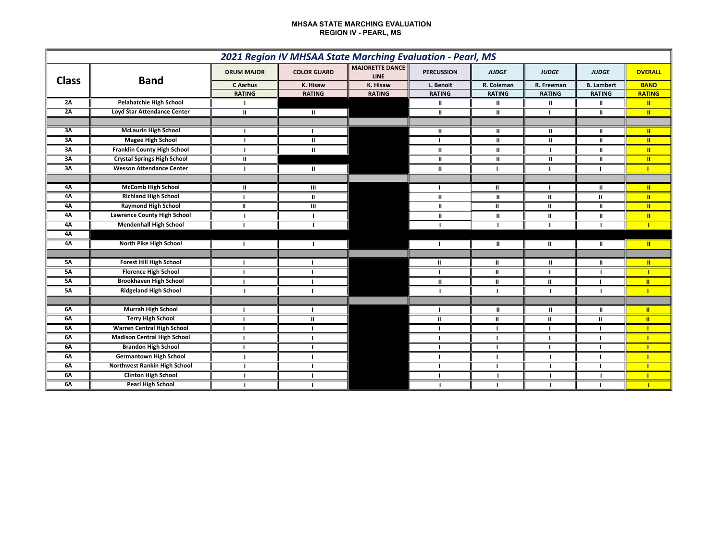## **MHSAA STATE MARCHING EVALUATION REGION IV - PEARL, MS**

| 2021 Region IV MHSAA State Marching Evaluation - Pearl, MS |                                    |                   |                    |                                       |                   |               |                |                   |                |  |
|------------------------------------------------------------|------------------------------------|-------------------|--------------------|---------------------------------------|-------------------|---------------|----------------|-------------------|----------------|--|
| <b>Class</b>                                               | <b>Band</b>                        | <b>DRUM MAJOR</b> | <b>COLOR GUARD</b> | <b>MAJORETTE DANCE</b><br><b>LINE</b> | <b>PERCUSSION</b> | <b>JUDGE</b>  | <b>JUDGE</b>   | <b>JUDGE</b>      | <b>OVERALL</b> |  |
|                                                            |                                    | <b>C</b> Aarhus   | K. Hisaw           | K. Hisaw                              | L. Benoit         | R. Coleman    | R. Freeman     | <b>B.</b> Lambert | <b>BAND</b>    |  |
|                                                            |                                    |                   | <b>RATING</b>      | <b>RATING</b>                         | <b>RATING</b>     | <b>RATING</b> | <b>RATING</b>  | <b>RATING</b>     | <b>RATING</b>  |  |
| 2A                                                         | <b>Pelahatchie High School</b>     | - 1               |                    |                                       | $\mathbf{u}$      | Ш.            | Ш              | Ш                 | <b>II</b>      |  |
| 2A                                                         | Loyd Star Attendance Center        | $\mathbf{u}$      | $\mathbf{H}$       |                                       | $\mathbf{I}$      | ш             | -1             | $\mathbf{I}$      | $\mathbf{u}$   |  |
|                                                            |                                    |                   |                    |                                       |                   |               |                |                   |                |  |
| 3A                                                         | <b>McLaurin High School</b>        | п.                | -1                 |                                       | Ш.                | Ш.            | Ш              | Ш                 | $\blacksquare$ |  |
| 3A                                                         | <b>Magee High School</b>           |                   | Ш                  |                                       | п                 | Ш             | $\mathbf{H}$   | Ш                 | $\mathbf{u}$   |  |
| 3A                                                         | <b>Franklin County High School</b> |                   | Ш                  |                                       | Ш                 | Ш             | т              | Ш                 | $\blacksquare$ |  |
| 3A                                                         | <b>Crystal Springs High School</b> | $\mathbf{u}$      |                    |                                       | $\mathbf{u}$      | Ш.            | ш              | Ш                 | $\blacksquare$ |  |
| 3A                                                         | <b>Wesson Attendance Center</b>    | п                 | Ш.                 |                                       | Ш                 | - I           | $\mathbf{I}$   | T.                | $\mathbf{I}$   |  |
|                                                            |                                    |                   |                    |                                       |                   |               |                |                   |                |  |
| 4A                                                         | <b>McComb High School</b>          | $\mathbf{I}$      | Ш                  |                                       | л.                | $\mathbf{u}$  | $\blacksquare$ | Ш                 | $\blacksquare$ |  |
| 4A                                                         | <b>Richland High School</b>        |                   | Ш                  |                                       | Ш.                | $\mathbf{I}$  | Ш              | Ш                 | $\blacksquare$ |  |
| 4А                                                         | <b>Raymond High School</b>         | Ш                 | $\mathbf{III}$     |                                       | Ш.                | $\mathbf{I}$  | $\mathbf{II}$  | $\mathbf{II}$     | $\mathbf{u}$   |  |
| 4A                                                         | <b>Lawrence County High School</b> | п                 | -1                 |                                       | Ш.                | Ш             | $\mathbf{II}$  | $\mathbf{II}$     | $\mathbf{u}$   |  |
| 4A                                                         | <b>Mendenhall High School</b>      |                   |                    |                                       |                   |               |                |                   |                |  |
| 4A                                                         |                                    |                   |                    |                                       |                   |               |                |                   |                |  |
| 4А                                                         | North Pike High School             | п.                |                    |                                       |                   | $\mathbf{u}$  | Ш              | $\mathbf{u}$      | $\blacksquare$ |  |
|                                                            |                                    |                   |                    |                                       |                   |               |                |                   |                |  |
| 5A                                                         | <b>Forest Hill High School</b>     |                   |                    |                                       | Ш                 | Ш             | Ш              | Ш                 | $\mathbf{I}$   |  |
| 5A                                                         | <b>Florence High School</b>        |                   |                    |                                       |                   | Ш             |                |                   | т              |  |
| <b>5A</b>                                                  | <b>Brookhaven High School</b>      |                   |                    |                                       | Ш                 | Ш             | Ш              |                   | $\mathbf{u}$   |  |
| 5A                                                         | <b>Ridgeland High School</b>       |                   |                    |                                       |                   |               | L.             |                   | п              |  |
|                                                            |                                    |                   |                    |                                       |                   |               |                |                   |                |  |
| 6A                                                         | <b>Murrah High School</b>          |                   |                    |                                       |                   | Ш             | Ш              | $\mathbf{u}$      | $\mathbf{I}$   |  |
| 6A                                                         | <b>Terry High School</b>           |                   | Ш                  |                                       | Ш                 | Ш             | Ш              | Ш                 | $\mathbf{u}$   |  |
| 6A                                                         | <b>Warren Central High School</b>  |                   |                    |                                       |                   | п             | п              |                   | п              |  |
| 6A                                                         | <b>Madison Central High School</b> |                   |                    |                                       |                   | ı             | -1             | п                 | п              |  |
| 6A                                                         | <b>Brandon High School</b>         | - 1               | -1                 |                                       | $\mathbf{I}$      | -1            | $\mathbf{I}$   | -1                | п              |  |
| 6A                                                         | <b>Germantown High School</b>      | п                 | -1                 |                                       | -1                | -1            | $\mathbf{L}$   | п                 | $\mathbf{I}$   |  |
| 6A                                                         | Northwest Rankin High School       |                   | п                  |                                       |                   | п             | -1             |                   | п              |  |
| 6A                                                         | <b>Clinton High School</b>         |                   | $\blacksquare$     |                                       | п                 | $\mathbf{I}$  | $\blacksquare$ | $\mathbf{I}$      | т              |  |
| 6A                                                         | <b>Pearl High School</b>           |                   | п                  |                                       |                   | - I           | п              |                   | $\mathbf{L}$   |  |